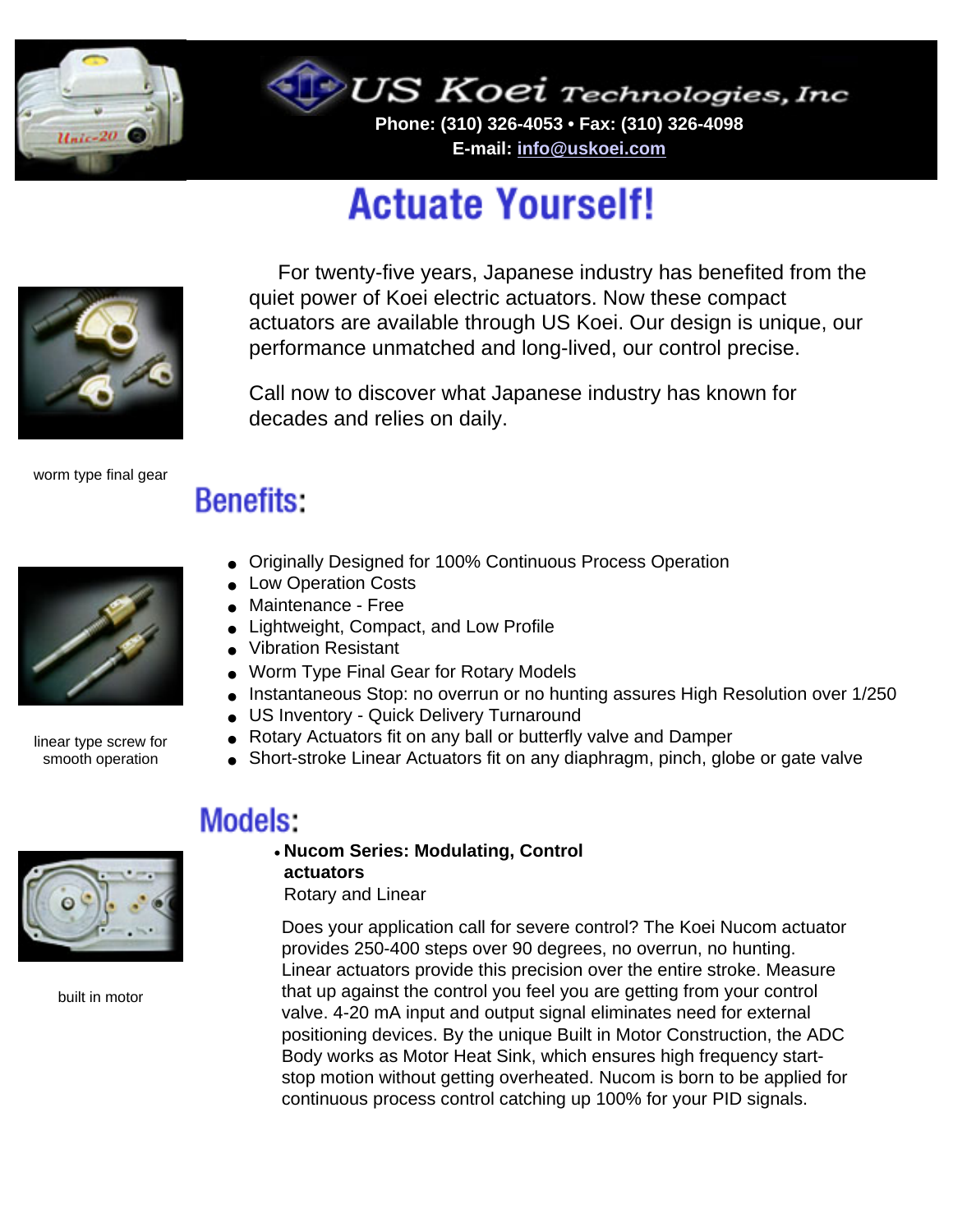

US Koei Technologies, Inc

**Phone: (310) 326-4053 • Fax: (310) 326-4098 E-mail: [info@uskoei.com](mailto:info@uskoei.com)**

# **Actuate Yourself!**



 For twenty-five years, Japanese industry has benefited from the quiet power of Koei electric actuators. Now these compact actuators are available through US Koei. Our design is unique, our performance unmatched and long-lived, our control precise.

Call now to discover what Japanese industry has known for decades and relies on daily.

worm type final gear

# **Benefits:**



linear type screw for smooth operation

- Originally Designed for 100% Continuous Process Operation
- Low Operation Costs
- Maintenance Free
- Lightweight, Compact, and Low Profile
- Vibration Resistant
- Worm Type Final Gear for Rotary Models
- Instantaneous Stop: no overrun or no hunting assures High Resolution over 1/250
- US Inventory Quick Delivery Turnaround
- Rotary Actuators fit on any ball or butterfly valve and Damper
- Short-stroke Linear Actuators fit on any diaphragm, pinch, globe or gate valve

### **Models:**

#### • **Nucom Series: Modulating, Control actuators**

Rotary and Linear

Does your application call for severe control? The Koei Nucom actuator provides 250-400 steps over 90 degrees, no overrun, no hunting. Linear actuators provide this precision over the entire stroke. Measure that up against the control you feel you are getting from your control valve. 4-20 mA input and output signal eliminates need for external positioning devices. By the unique Built in Motor Construction, the ADC Body works as Motor Heat Sink, which ensures high frequency startstop motion without getting overheated. Nucom is born to be applied for continuous process control catching up 100% for your PID signals.



built in motor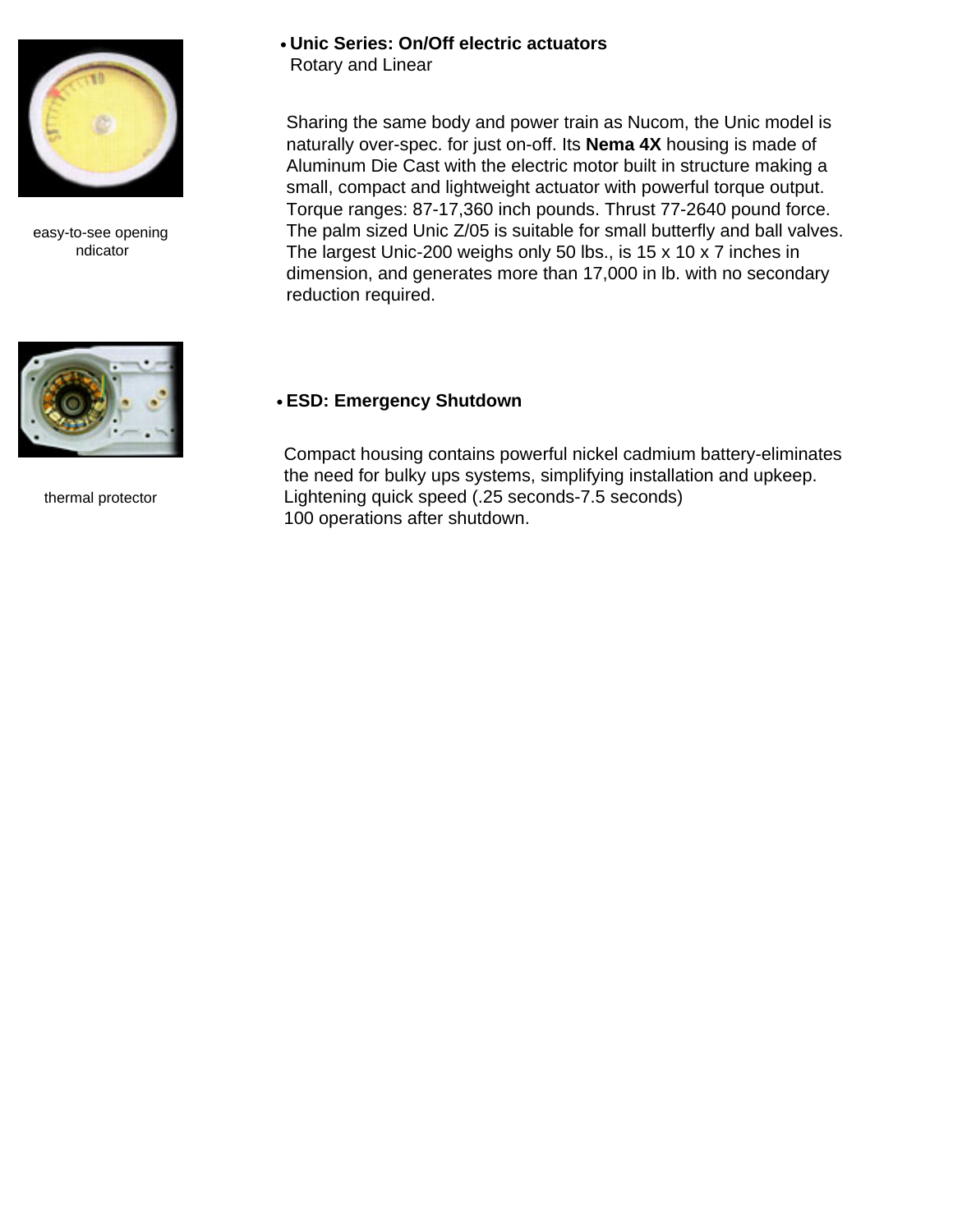

easy-to-see opening ndicator



thermal protector

#### • **Unic Series: On/Off electric actuators**

Rotary and Linear

Sharing the same body and power train as Nucom, the Unic model is naturally over-spec. for just on-off. Its **Nema 4X** housing is made of Aluminum Die Cast with the electric motor built in structure making a small, compact and lightweight actuator with powerful torque output. Torque ranges: 87-17,360 inch pounds. Thrust 77-2640 pound force. The palm sized Unic Z/05 is suitable for small butterfly and ball valves. The largest Unic-200 weighs only 50 lbs., is 15 x 10 x 7 inches in dimension, and generates more than 17,000 in lb. with no secondary reduction required.

#### • **ESD: Emergency Shutdown**

Compact housing contains powerful nickel cadmium battery-eliminates the need for bulky ups systems, simplifying installation and upkeep. Lightening quick speed (.25 seconds-7.5 seconds) 100 operations after shutdown.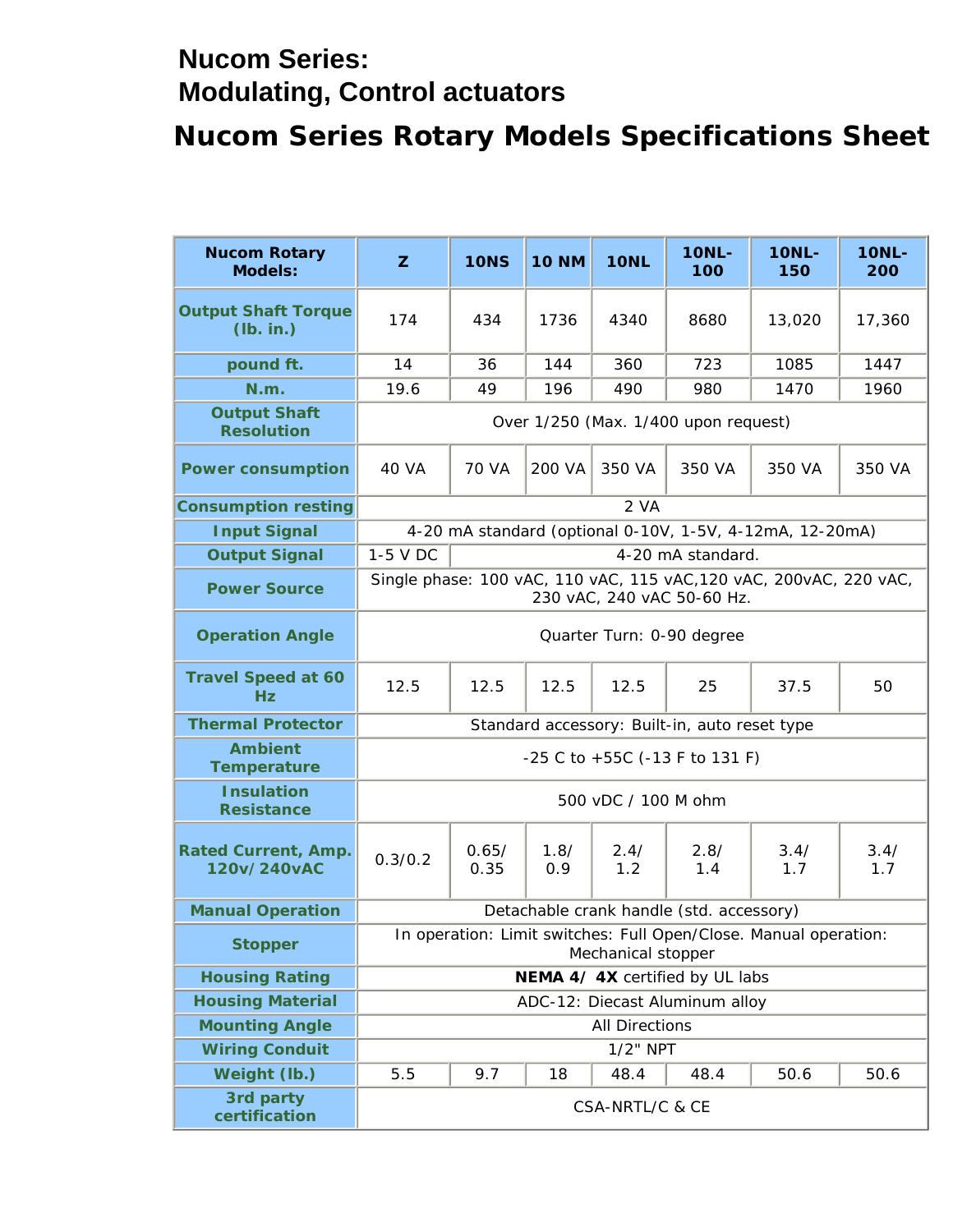### **Nucom Series: Modulating, Control actuators**

# **Nucom Series Rotary Models Specifications Sheet**

| <b>Nucom Rotary</b><br><b>Models:</b>     | ${\bf z}$                                                                                        | <b>10NS</b>                                              | <b>10 NM</b>  | <b>10NL</b> | <b>10NL-</b><br><b>100</b>                    | <b>10NL-</b><br>150 | <b>10NL-</b><br>200 |  |  |  |
|-------------------------------------------|--------------------------------------------------------------------------------------------------|----------------------------------------------------------|---------------|-------------|-----------------------------------------------|---------------------|---------------------|--|--|--|
| <b>Output Shaft Torque</b><br>(lb. in.)   | 174                                                                                              | 434                                                      | 1736          | 4340        | 8680                                          | 13,020              | 17,360              |  |  |  |
| pound ft.                                 | 14                                                                                               | 36                                                       | 144           | 360         | 723                                           | 1085                | 1447                |  |  |  |
| N.m.                                      | 19.6                                                                                             | 49                                                       | 196           | 490         | 980                                           | 1470                | 1960                |  |  |  |
| <b>Output Shaft</b><br><b>Resolution</b>  | Over $1/250$ (Max. $1/400$ upon request)                                                         |                                                          |               |             |                                               |                     |                     |  |  |  |
| <b>Power consumption</b>                  | <b>40 VA</b>                                                                                     | <b>70 VA</b>                                             | <b>200 VA</b> | 350 VA      | 350 VA                                        | 350 VA              | 350 VA              |  |  |  |
| <b>Consumption resting</b>                |                                                                                                  |                                                          |               | 2 VA        |                                               |                     |                     |  |  |  |
| <b>Input Signal</b>                       |                                                                                                  | 4-20 mA standard (optional 0-10V, 1-5V, 4-12mA, 12-20mA) |               |             |                                               |                     |                     |  |  |  |
| <b>Output Signal</b>                      | 1-5 V DC                                                                                         |                                                          |               |             | 4-20 mA standard.                             |                     |                     |  |  |  |
| <b>Power Source</b>                       | Single phase: 100 vAC, 110 vAC, 115 vAC, 120 vAC, 200vAC, 220 vAC,<br>230 vAC, 240 vAC 50-60 Hz. |                                                          |               |             |                                               |                     |                     |  |  |  |
| <b>Operation Angle</b>                    | Quarter Turn: 0-90 degree                                                                        |                                                          |               |             |                                               |                     |                     |  |  |  |
| <b>Travel Speed at 60</b><br>Hz           | 12.5                                                                                             | 12.5                                                     | 12.5          | 12.5        | 25                                            | 37.5                | 50                  |  |  |  |
| <b>Thermal Protector</b>                  |                                                                                                  |                                                          |               |             | Standard accessory: Built-in, auto reset type |                     |                     |  |  |  |
| <b>Ambient</b><br><b>Temperature</b>      | $-25$ C to $+55C$ ( $-13$ F to 131 F)                                                            |                                                          |               |             |                                               |                     |                     |  |  |  |
| <b>Insulation</b><br><b>Resistance</b>    | 500 vDC / 100 M ohm                                                                              |                                                          |               |             |                                               |                     |                     |  |  |  |
| <b>Rated Current, Amp.</b><br>120v/240vAC | 0.3/0.2                                                                                          | 0.65/<br>0.35                                            | 1.8/<br>0.9   | 2.4/<br>1.2 | 2.8/<br>1.4                                   | 3.4/<br>1.7         | 3.4/<br>1.7         |  |  |  |
| <b>Manual Operation</b>                   |                                                                                                  |                                                          |               |             | Detachable crank handle (std. accessory)      |                     |                     |  |  |  |
| <b>Stopper</b>                            | In operation: Limit switches: Full Open/Close. Manual operation:<br><b>Mechanical stopper</b>    |                                                          |               |             |                                               |                     |                     |  |  |  |
| <b>Housing Rating</b>                     | NEMA 4/4X certified by UL labs                                                                   |                                                          |               |             |                                               |                     |                     |  |  |  |
| <b>Housing Material</b>                   | ADC-12: Diecast Aluminum alloy                                                                   |                                                          |               |             |                                               |                     |                     |  |  |  |
| <b>Mounting Angle</b>                     | <b>All Directions</b>                                                                            |                                                          |               |             |                                               |                     |                     |  |  |  |
| <b>Wiring Conduit</b>                     | $1/2$ " NPT                                                                                      |                                                          |               |             |                                               |                     |                     |  |  |  |
| <b>Weight (lb.)</b>                       | 5.5                                                                                              | 9.7                                                      | 18            | 48.4        | 48.4                                          | 50.6                | 50.6                |  |  |  |
| 3rd party<br>certification                | CSA-NRTL/C & CE                                                                                  |                                                          |               |             |                                               |                     |                     |  |  |  |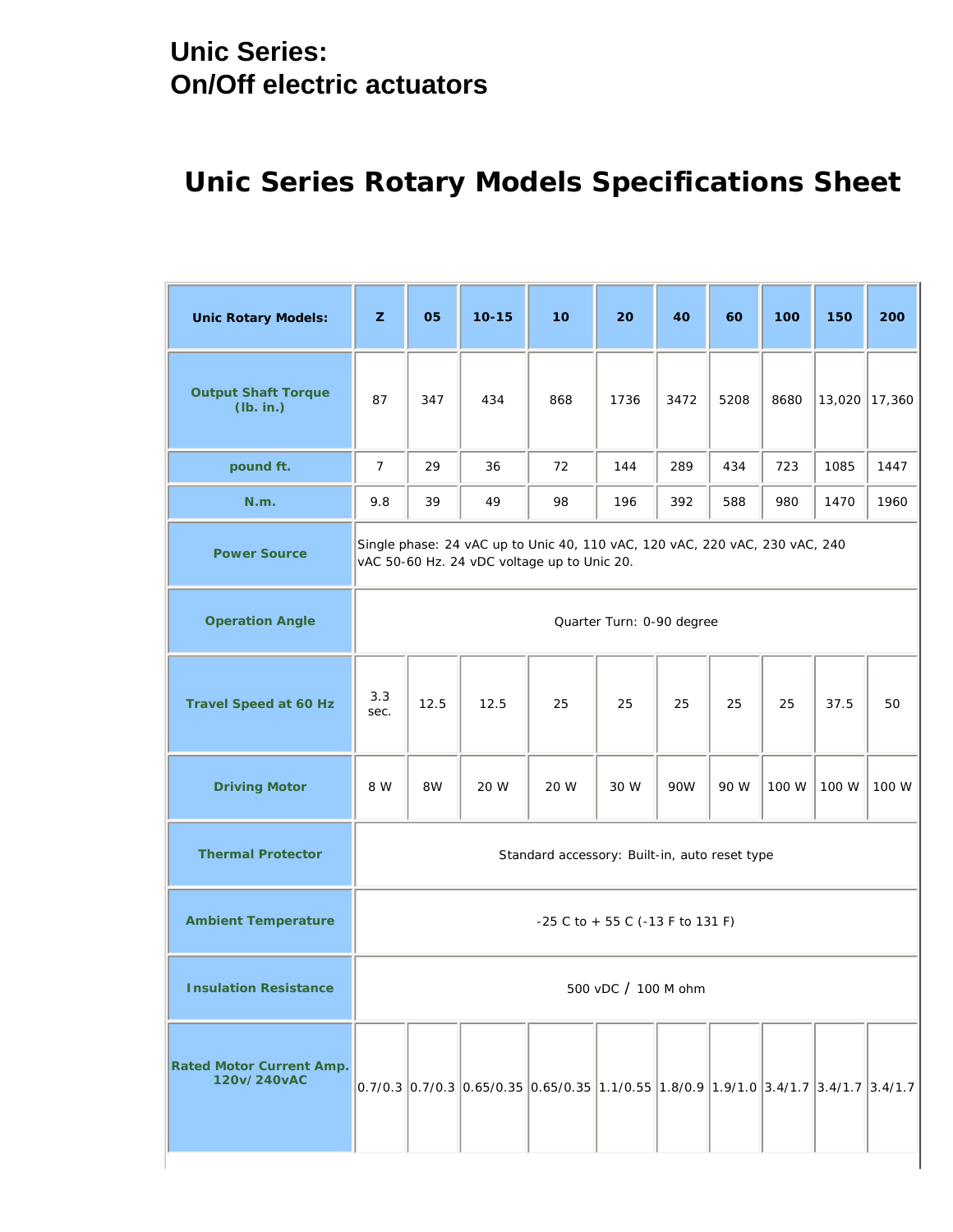### **Unic Series: On/Off electric actuators**

# **Unic Series Rotary Models Specifications Sheet**

| <b>Unic Rotary Models:</b>                     | ${\bf z}$                                                                                                                  | 05   | $10 - 15$ | 10                                                                                                                                                                | 20   | 40         | 60   | 100   | 150    | 200    |
|------------------------------------------------|----------------------------------------------------------------------------------------------------------------------------|------|-----------|-------------------------------------------------------------------------------------------------------------------------------------------------------------------|------|------------|------|-------|--------|--------|
| <b>Output Shaft Torque</b><br>(lb. in.)        | 87                                                                                                                         | 347  | 434       | 868                                                                                                                                                               | 1736 | 3472       | 5208 | 8680  | 13,020 | 17,360 |
| pound ft.                                      | $\tau$                                                                                                                     | 29   | 36        | 72                                                                                                                                                                | 144  | 289        | 434  | 723   | 1085   | 1447   |
| N.m.                                           | $9.8\,$                                                                                                                    | 39   | 49        | 98                                                                                                                                                                | 196  | 392        | 588  | 980   | 1470   | 1960   |
| <b>Power Source</b>                            | Single phase: 24 vAC up to Unic 40, 110 vAC, 120 vAC, 220 vAC, 230 vAC, 240<br>vAC 50-60 Hz. 24 vDC voltage up to Unic 20. |      |           |                                                                                                                                                                   |      |            |      |       |        |        |
| <b>Operation Angle</b>                         | Quarter Turn: 0-90 degree                                                                                                  |      |           |                                                                                                                                                                   |      |            |      |       |        |        |
| <b>Travel Speed at 60 Hz</b>                   | 3.3<br>sec.                                                                                                                | 12.5 | 12.5      | 25                                                                                                                                                                | 25   | 25         | 25   | 25    | 37.5   | 50     |
| <b>Driving Motor</b>                           | 8 W                                                                                                                        | 8W   | 20 W      | 20 W                                                                                                                                                              | 30 W | <b>90W</b> | 90 W | 100 W | 100 W  | 100 W  |
| <b>Thermal Protector</b>                       | Standard accessory: Built-in, auto reset type                                                                              |      |           |                                                                                                                                                                   |      |            |      |       |        |        |
| <b>Ambient Temperature</b>                     | $-25$ C to $+55$ C ( $-13$ F to 131 F)                                                                                     |      |           |                                                                                                                                                                   |      |            |      |       |        |        |
| <b>Insulation Resistance</b>                   | 500 vDC / 100 M ohm                                                                                                        |      |           |                                                                                                                                                                   |      |            |      |       |        |        |
| <b>Rated Motor Current Amp.</b><br>120v/240vAC |                                                                                                                            |      |           | $\left 0.7/0.3\left 0.7/0.3\left 0.65/0.35\left 0.65/0.35\left 1.1/0.55\left 1.8/0.9\left 1.9/1.0\right 3.4/1.7\right 3.4/1.7\right.\right \right.\right.\right.$ |      |            |      |       |        |        |